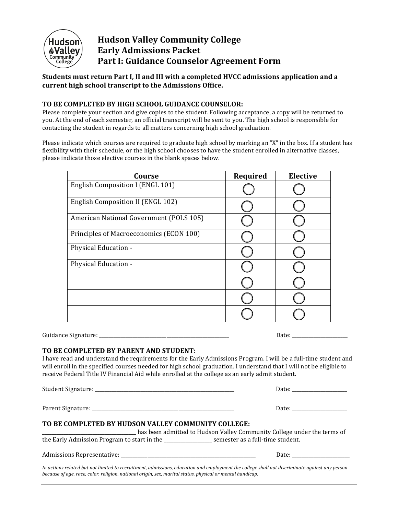

# **Hudson Valley Community College Early Admissions Packet Part I: Guidance Counselor Agreement Form**

**Students must return Part I, II and III with a completed HVCC admissions application and a** current high school transcript to the Admissions Office.

#### **TO BE COMPLETED BY HIGH SCHOOL GUIDANCE COUNSELOR:**

Please complete your section and give copies to the student. Following acceptance, a copy will be returned to you. At the end of each semester, an official transcript will be sent to you. The high school is responsible for contacting the student in regards to all matters concerning high school graduation.

Please indicate which courses are required to graduate high school by marking an "X" in the box. If a student has flexibility with their schedule, or the high school chooses to have the student enrolled in alternative classes, please indicate those elective courses in the blank spaces below.

| Course                                  | Required | <b>Elective</b> |
|-----------------------------------------|----------|-----------------|
| English Composition I (ENGL 101)        |          |                 |
| English Composition II (ENGL 102)       |          |                 |
| American National Government (POLS 105) |          |                 |
| Principles of Macroeconomics (ECON 100) |          |                 |
| Physical Education -                    |          |                 |
| Physical Education -                    |          |                 |
|                                         |          |                 |
|                                         |          |                 |
|                                         |          |                 |

Guidance Signature: \_\_\_\_\_\_\_\_\_\_\_\_\_\_\_\_\_\_\_\_\_\_\_\_\_\_\_\_\_\_\_\_\_\_\_\_\_\_\_\_\_\_\_\_\_\_\_\_\_\_\_\_\_\_ Date: \_\_\_\_\_\_\_\_\_\_\_\_\_\_\_\_\_\_\_\_\_\_\_

#### **TO BE COMPLETED BY PARENT AND STUDENT:**

I have read and understand the requirements for the Early Admissions Program. I will be a full-time student and will enroll in the specified courses needed for high school graduation. I understand that I will not be eligible to receive Federal Title IV Financial Aid while enrolled at the college as an early admit student.

Student Signature: \_\_\_\_\_\_\_\_\_\_\_\_\_\_\_\_\_\_\_\_\_\_\_\_\_\_\_\_\_\_\_\_\_\_\_\_\_\_\_\_\_\_\_\_\_\_\_\_\_\_\_\_\_\_\_\_\_\_ Date: \_\_\_\_\_\_\_\_\_\_\_\_\_\_\_\_\_\_\_\_\_\_\_ Parent Signature: \_\_\_\_\_\_\_\_\_\_\_\_\_\_\_\_\_\_\_\_\_\_\_\_\_\_\_\_\_\_\_\_\_\_\_\_\_\_\_\_\_\_\_\_\_\_\_\_\_\_\_\_\_\_\_\_\_\_\_ Date: \_\_\_\_\_\_\_\_\_\_\_\_\_\_\_\_\_\_\_\_\_\_\_ **TO BE COMPLETED BY HUDSON VALLEY COMMUNITY COLLEGE:** has been admitted to Hudson Valley Community College under the terms of the Early Admission Program to start in the \_\_\_\_\_\_\_\_\_\_\_\_\_\_\_\_\_\_\_ semester as a full-time student. Admissions Representative: \_\_\_\_\_\_\_\_\_\_\_\_\_\_\_\_\_\_\_\_\_\_\_\_\_\_\_\_\_\_\_\_\_\_\_\_\_\_\_\_\_\_\_\_\_\_\_\_\_\_\_\_\_\_\_\_ Date: \_\_\_\_\_\_\_\_\_\_\_\_\_\_\_\_\_\_\_\_\_\_\_\_

In actions related but not limited to recruitment, admissions, education and employment the college shall not discriminate against any person *because of age, race, color, religion, national origin, sex, marital status, physical or mental handicap.*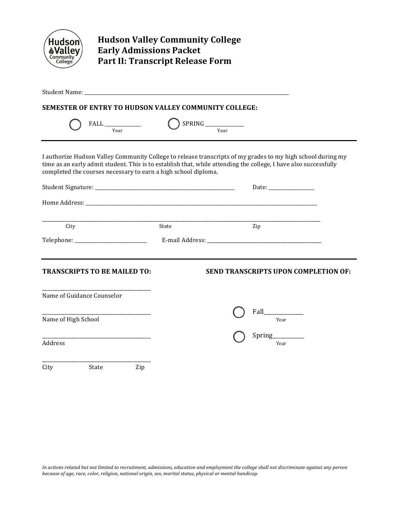| <b>Hudson</b>              | <b>Hudson Valley Community College</b><br><b>Early Admissions Packet</b><br><b>Part II: Transcript Release Form</b> |       |                           |                                                                                                                                                                                                                                 |
|----------------------------|---------------------------------------------------------------------------------------------------------------------|-------|---------------------------|---------------------------------------------------------------------------------------------------------------------------------------------------------------------------------------------------------------------------------|
|                            |                                                                                                                     |       |                           |                                                                                                                                                                                                                                 |
|                            | SEMESTER OF ENTRY TO HUDSON VALLEY COMMUNITY COLLEGE:                                                               |       |                           |                                                                                                                                                                                                                                 |
|                            | $\text{FALL} \xrightarrow{\text{Year}}$                                                                             |       | $SPRING$ $\frac{V}{Year}$ |                                                                                                                                                                                                                                 |
|                            | completed the courses necessary to earn a high school diploma.                                                      |       |                           | I authorize Hudson Valley Community College to release transcripts of my grades to my high school during my<br>time as an early admit student. This is to establish that, while attending the college, I have also successfully |
|                            |                                                                                                                     |       |                           |                                                                                                                                                                                                                                 |
|                            |                                                                                                                     |       |                           |                                                                                                                                                                                                                                 |
| City                       |                                                                                                                     | State |                           | Zip                                                                                                                                                                                                                             |
|                            |                                                                                                                     |       |                           |                                                                                                                                                                                                                                 |
|                            |                                                                                                                     |       |                           |                                                                                                                                                                                                                                 |
|                            | <b>TRANSCRIPTS TO BE MAILED TO:</b>                                                                                 |       |                           | <b>SEND TRANSCRIPTS UPON COMPLETION OF:</b>                                                                                                                                                                                     |
| Name of Guidance Counselor |                                                                                                                     |       |                           |                                                                                                                                                                                                                                 |
|                            |                                                                                                                     |       |                           |                                                                                                                                                                                                                                 |
| Name of High School        |                                                                                                                     |       |                           | Year                                                                                                                                                                                                                            |
| Address                    |                                                                                                                     |       |                           | Spring<br>Year                                                                                                                                                                                                                  |
| City                       | Zip<br>State                                                                                                        |       |                           |                                                                                                                                                                                                                                 |